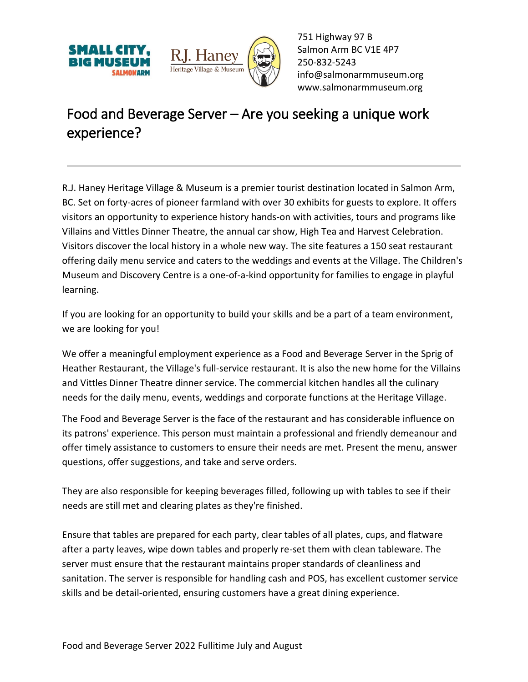



751 Highway 97 B Salmon Arm BC V1E 4P7 250-832-5243 [info@salmonarmmuseum.org](mailto:info@salmonarmmuseum.org) www.salmonarmmuseum.org

## Food and Beverage Server – Are you seeking a unique work experience?

R.J. Haney Heritage Village & Museum is a premier tourist destination located in Salmon Arm, BC. Set on forty-acres of pioneer farmland with over 30 exhibits for guests to explore. It offers visitors an opportunity to experience history hands-on with activities, tours and programs like Villains and Vittles Dinner Theatre, the annual car show, High Tea and Harvest Celebration. Visitors discover the local history in a whole new way. The site features a 150 seat restaurant offering daily menu service and caters to the weddings and events at the Village. The Children's Museum and Discovery Centre is a one-of-a-kind opportunity for families to engage in playful learning.

If you are looking for an opportunity to build your skills and be a part of a team environment, we are looking for you!

We offer a meaningful employment experience as a Food and Beverage Server in the Sprig of Heather Restaurant, the Village's full-service restaurant. It is also the new home for the Villains and Vittles Dinner Theatre dinner service. The commercial kitchen handles all the culinary needs for the daily menu, events, weddings and corporate functions at the Heritage Village.

The Food and Beverage Server is the face of the restaurant and has considerable influence on its patrons' experience. This person must maintain a professional and friendly demeanour and offer timely assistance to customers to ensure their needs are met. Present the menu, answer questions, offer suggestions, and take and serve orders.

They are also responsible for keeping beverages filled, following up with tables to see if their needs are still met and clearing plates as they're finished.

Ensure that tables are prepared for each party, clear tables of all plates, cups, and flatware after a party leaves, wipe down tables and properly re-set them with clean tableware. The server must ensure that the restaurant maintains proper standards of cleanliness and sanitation. The server is responsible for handling cash and POS, has excellent customer service skills and be detail-oriented, ensuring customers have a great dining experience.